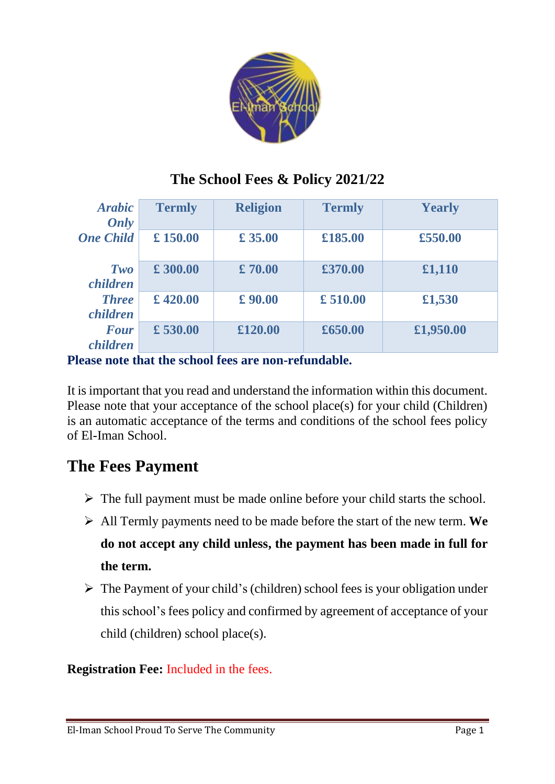

## **The School Fees & Policy 2021/22**

| <b>Arabic</b><br>Only           | <b>Termly</b> | <b>Religion</b> | <b>Termly</b> | <b>Yearly</b> |
|---------------------------------|---------------|-----------------|---------------|---------------|
| <b>One Child</b>                | £150.00       | £35.00          | £185.00       | £550.00       |
| Two<br>children                 | £ 300.00      | £70.00          | £370.00       | £1,110        |
| <b>Three</b><br><i>children</i> | £420.00       | £90.00          | £510.00       | £1,530        |
| <b>Four</b><br><i>children</i>  | £ 530.00      | £120.00         | £650.00       | £1,950.00     |

**Please note that the school fees are non-refundable.** 

It is important that you read and understand the information within this document. Please note that your acceptance of the school place(s) for your child (Children) is an automatic acceptance of the terms and conditions of the school fees policy of El-Iman School.

# **The Fees Payment**

- $\triangleright$  The full payment must be made online before your child starts the school.
- ➢ All Termly payments need to be made before the start of the new term. **We do not accept any child unless, the payment has been made in full for the term.**
- $\triangleright$  The Payment of your child's (children) school fees is your obligation under this school's fees policy and confirmed by agreement of acceptance of your child (children) school place(s).

### **Registration Fee:** Included in the fees.